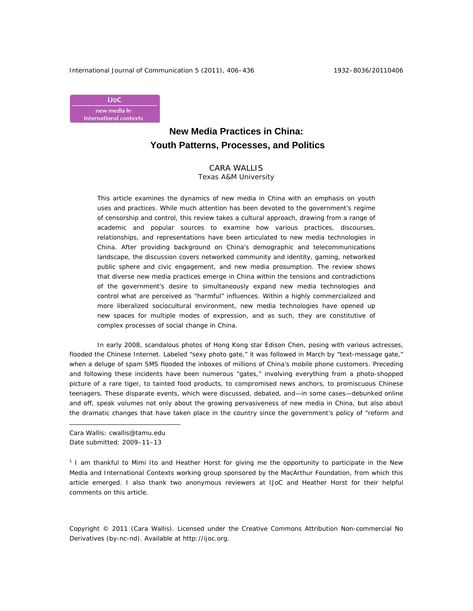International Journal of Communication 5 (2011), 406-436 1932-8036/20110406



# **New Media Practices in China: Youth Patterns, Processes, and Politics**

CARA WALLIS Texas A&M University

This article examines the dynamics of new media in China with an emphasis on youth uses and practices. While much attention has been devoted to the government's regime of censorship and control, this review takes a cultural approach, drawing from a range of academic and popular sources to examine how various practices, discourses, relationships, and representations have been articulated to new media technologies in China. After providing background on China's demographic and telecommunications landscape, the discussion covers networked community and identity, gaming, networked public sphere and civic engagement, and new media prosumption. The review shows that diverse new media practices emerge in China within the tensions and contradictions of the government's desire to simultaneously expand new media technologies and control what are perceived as "harmful" influences. Within a highly commercialized and more liberalized sociocultural environment, new media technologies have opened up new spaces for multiple modes of expression, and as such, they are constitutive of complex processes of social change in China.

In early 2008, scandalous photos of Hong Kong star Edison Chen, posing with various actresses, flooded the Chinese Internet. Labeled "sexy photo gate," it was followed in March by "text-message gate," when a deluge of spam SMS flooded the inboxes of millions of China's mobile phone customers. Preceding and following these incidents have been numerous "gates," involving everything from a photo-shopped picture of a rare tiger, to tainted food products, to compromised news anchors, to promiscuous Chinese teenagers. These disparate events, which were discussed, debated, and—in some cases—debunked online and off, speak volumes not only about the growing pervasiveness of new media in China, but also about the dramatic changes that have taken place in the country since the government's policy of "reform and

Cara Wallis: cwallis@tamu.edu Date submitted: 2009–11–13

 $\overline{a}$ 

<sup>1</sup> I am thankful to Mimi Ito and Heather Horst for giving me the opportunity to participate in the New Media and International Contexts working group sponsored by the MacArthur Foundation, from which this article emerged. I also thank two anonymous reviewers at *IJoC* and Heather Horst for their helpful comments on this article*.* 

Copyright © 2011 (Cara Wallis). Licensed under the Creative Commons Attribution Non-commercial No Derivatives (by-nc-nd). Available at http://ijoc.org.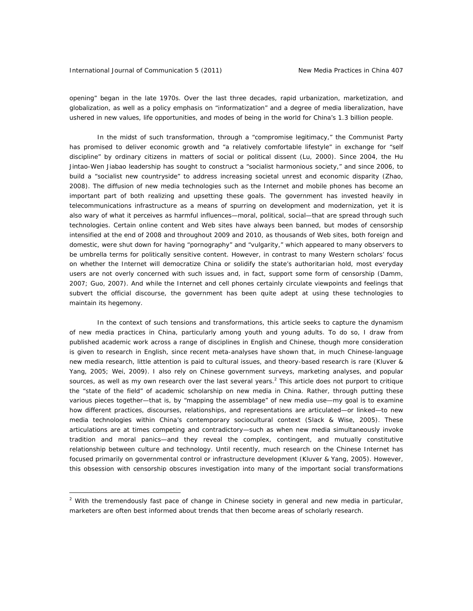opening" began in the late 1970s. Over the last three decades, rapid urbanization, marketization, and globalization, as well as a policy emphasis on "informatization" and a degree of media liberalization, have ushered in new values, life opportunities, and modes of being in the world for China's 1.3 billion people.

In the midst of such transformation, through a "compromise legitimacy," the Communist Party has promised to deliver economic growth and "a relatively comfortable lifestyle" in exchange for "self discipline" by ordinary citizens in matters of social or political dissent (Lu, 2000). Since 2004, the Hu Jintao-Wen Jiabao leadership has sought to construct a "socialist harmonious society," and since 2006, to build a "socialist new countryside" to address increasing societal unrest and economic disparity (Zhao, 2008). The diffusion of new media technologies such as the Internet and mobile phones has become an important part of both realizing and upsetting these goals. The government has invested heavily in telecommunications infrastructure as a means of spurring on development and modernization, yet it is also wary of what it perceives as harmful influences—moral, political, social—that are spread through such technologies. Certain online content and Web sites have always been banned, but modes of censorship intensified at the end of 2008 and throughout 2009 and 2010, as thousands of Web sites, both foreign and domestic, were shut down for having "pornography" and "vulgarity," which appeared to many observers to be umbrella terms for politically sensitive content. However, in contrast to many Western scholars' focus on whether the Internet will democratize China or solidify the state's authoritarian hold, most everyday users are not overly concerned with such issues and, in fact, support some form of censorship (Damm, 2007; Guo, 2007). And while the Internet and cell phones certainly circulate viewpoints and feelings that subvert the official discourse, the government has been quite adept at using these technologies to maintain its hegemony.

In the context of such tensions and transformations, this article seeks to capture the dynamism of new media practices in China, particularly among youth and young adults. To do so, I draw from published academic work across a range of disciplines in English and Chinese, though more consideration is given to research in English, since recent meta-analyses have shown that, in much Chinese-language new media research, little attention is paid to cultural issues, and theory-based research is rare (Kluver & Yang, 2005; Wei, 2009). I also rely on Chinese government surveys, marketing analyses, and popular sources, as well as my own research over the last several years.<sup>2</sup> This article does not purport to critique the "state of the field" of academic scholarship on new media in China. Rather, through putting these various pieces together—that is, by "mapping the assemblage" of new media use—my goal is to examine how different practices, discourses, relationships, and representations are articulated—or linked—to new media technologies within China's contemporary sociocultural context (Slack & Wise, 2005). These articulations are at times competing and contradictory—such as when new media simultaneously invoke tradition and moral panics—and they reveal the complex, contingent, and mutually constitutive relationship between culture and technology. Until recently, much research on the Chinese Internet has focused primarily on governmental control or infrastructure development (Kluver & Yang, 2005). However, this obsession with censorship obscures investigation into many of the important social transformations

 $2$  With the tremendously fast pace of change in Chinese society in general and new media in particular, marketers are often best informed about trends that then become areas of scholarly research.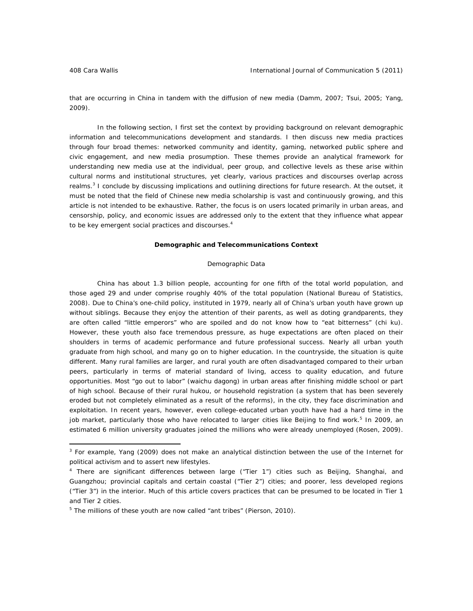that are occurring in China in tandem with the diffusion of new media (Damm, 2007; Tsui, 2005; Yang, 2009).

In the following section, I first set the context by providing background on relevant demographic information and telecommunications development and standards. I then discuss new media practices through four broad themes: networked community and identity, gaming, networked public sphere and civic engagement, and new media prosumption. These themes provide an analytical framework for understanding new media use at the individual, peer group, and collective levels as these arise within cultural norms and institutional structures, yet clearly, various practices and discourses overlap across realms.<sup>3</sup> I conclude by discussing implications and outlining directions for future research. At the outset, it must be noted that the field of Chinese new media scholarship is vast and continuously growing, and this article is not intended to be exhaustive. Rather, the focus is on users located primarily in urban areas, and censorship, policy, and economic issues are addressed only to the extent that they influence what appear to be key emergent social practices and discourses.<sup>4</sup>

# **Demographic and Telecommunications Context**

# *Demographic Data*

China has about 1.3 billion people, accounting for one fifth of the total world population, and those aged 29 and under comprise roughly 40% of the total population (National Bureau of Statistics, 2008). Due to China's one-child policy, instituted in 1979, nearly all of China's urban youth have grown up without siblings. Because they enjoy the attention of their parents, as well as doting grandparents, they are often called "little emperors" who are spoiled and do not know how to "eat bitterness" (*chi ku*). However, these youth also face tremendous pressure, as huge expectations are often placed on their shoulders in terms of academic performance and future professional success. Nearly all urban youth graduate from high school, and many go on to higher education. In the countryside, the situation is quite different. Many rural families are larger, and rural youth are often disadvantaged compared to their urban peers, particularly in terms of material standard of living, access to quality education, and future opportunities. Most "go out to labor" (*waichu dagong*) in urban areas after finishing middle school or part of high school. Because of their rural *hukou*, or household registration (a system that has been severely eroded but not completely eliminated as a result of the reforms), in the city, they face discrimination and exploitation. In recent years, however, even college-educated urban youth have had a hard time in the job market, particularly those who have relocated to larger cities like Beijing to find work.<sup>5</sup> In 2009, an estimated 6 million university graduates joined the millions who were already unemployed (Rosen, 2009).

<sup>&</sup>lt;sup>3</sup> For example, Yang (2009) does not make an analytical distinction between the use of the Internet for political activism and to assert new lifestyles.

<sup>&</sup>lt;sup>4</sup> There are significant differences between large ("Tier 1") cities such as Beijing, Shanghai, and Guangzhou; provincial capitals and certain coastal ("Tier 2") cities; and poorer, less developed regions ("Tier 3") in the interior. Much of this article covers practices that can be presumed to be located in Tier 1 and Tier 2 cities.

<sup>&</sup>lt;sup>5</sup> The millions of these youth are now called "ant tribes" (Pierson, 2010).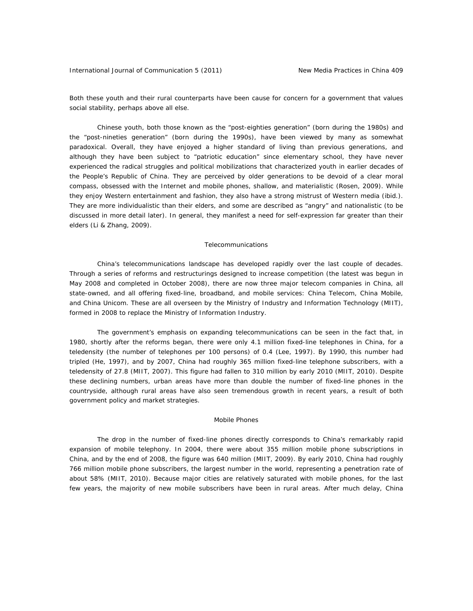Both these youth and their rural counterparts have been cause for concern for a government that values social stability, perhaps above all else.

Chinese youth, both those known as the "post-eighties generation" (born during the 1980s) and the "post-nineties generation" (born during the 1990s), have been viewed by many as somewhat paradoxical. Overall, they have enjoyed a higher standard of living than previous generations, and although they have been subject to "patriotic education" since elementary school, they have never experienced the radical struggles and political mobilizations that characterized youth in earlier decades of the People's Republic of China. They are perceived by older generations to be devoid of a clear moral compass, obsessed with the Internet and mobile phones, shallow, and materialistic (Rosen, 2009). While they enjoy Western entertainment and fashion, they also have a strong mistrust of Western media (ibid.). They are more individualistic than their elders, and some are described as "angry" and nationalistic (to be discussed in more detail later). In general, they manifest a need for self-expression far greater than their elders (Li & Zhang, 2009).

### *Telecommunications*

China's telecommunications landscape has developed rapidly over the last couple of decades. Through a series of reforms and restructurings designed to increase competition (the latest was begun in May 2008 and completed in October 2008), there are now three major telecom companies in China, all state-owned, and all offering fixed-line, broadband, and mobile services: China Telecom, China Mobile, and China Unicom. These are all overseen by the Ministry of Industry and Information Technology (MIIT), formed in 2008 to replace the Ministry of Information Industry.

The government's emphasis on expanding telecommunications can be seen in the fact that, in 1980, shortly after the reforms began, there were only 4.1 million fixed-line telephones in China, for a teledensity (the number of telephones per 100 persons) of 0.4 (Lee, 1997). By 1990, this number had tripled (He, 1997), and by 2007, China had roughly 365 million fixed-line telephone subscribers, with a teledensity of 27.8 (MIIT, 2007). This figure had fallen to 310 million by early 2010 (MIIT, 2010). Despite these declining numbers, urban areas have more than double the number of fixed-line phones in the countryside, although rural areas have also seen tremendous growth in recent years, a result of both government policy and market strategies.

# *Mobile Phones*

The drop in the number of fixed-line phones directly corresponds to China's remarkably rapid expansion of mobile telephony. In 2004, there were about 355 million mobile phone subscriptions in China, and by the end of 2008, the figure was 640 million (MIIT, 2009). By early 2010, China had roughly 766 million mobile phone subscribers, the largest number in the world, representing a penetration rate of about 58% (MIIT, 2010). Because major cities are relatively saturated with mobile phones, for the last few years, the majority of new mobile subscribers have been in rural areas. After much delay, China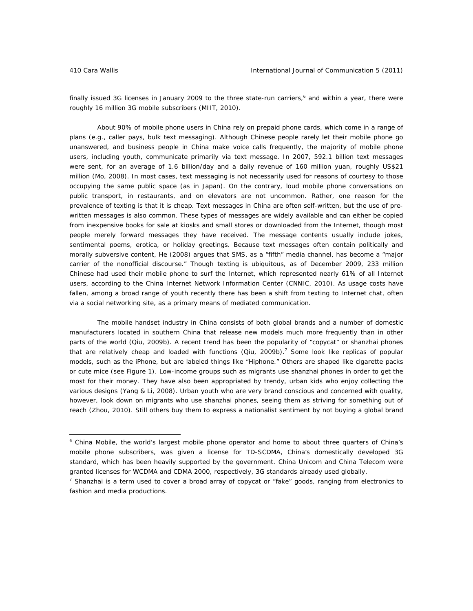finally issued 3G licenses in January 2009 to the three state-run carriers,<sup>6</sup> and within a year, there were roughly 16 million 3G mobile subscribers (MIIT, 2010).

About 90% of mobile phone users in China rely on prepaid phone cards, which come in a range of plans (e.g., caller pays, bulk text messaging). Although Chinese people rarely let their mobile phone go unanswered, and business people in China make voice calls frequently, the majority of mobile phone users, including youth, communicate primarily via text message. In 2007, 592.1 billion text messages were sent, for an average of 1.6 billion/day and a daily revenue of 160 million yuan, roughly US\$21 million (Mo, 2008). In most cases, text messaging is not necessarily used for reasons of courtesy to those occupying the same public space (as in Japan). On the contrary, loud mobile phone conversations on public transport, in restaurants, and on elevators are not uncommon. Rather, one reason for the prevalence of texting is that it is cheap. Text messages in China are often self-written, but the use of prewritten messages is also common. These types of messages are widely available and can either be copied from inexpensive books for sale at kiosks and small stores or downloaded from the Internet, though most people merely forward messages they have received. The message contents usually include jokes, sentimental poems, erotica, or holiday greetings. Because text messages often contain politically and morally subversive content, He (2008) argues that SMS, as a "fifth" media channel, has become a "major carrier of the nonofficial discourse." Though texting is ubiquitous, as of December 2009, 233 million Chinese had used their mobile phone to surf the Internet, which represented nearly 61% of all Internet users, according to the China Internet Network Information Center (CNNIC, 2010). As usage costs have fallen, among a broad range of youth recently there has been a shift from texting to Internet chat, often via a social networking site, as a primary means of mediated communication.

The mobile handset industry in China consists of both global brands and a number of domestic manufacturers located in southern China that release new models much more frequently than in other parts of the world (Qiu, 2009b). A recent trend has been the popularity of "copycat" or *shanzhai* phones that are relatively cheap and loaded with functions (Qiu, 2009b).<sup>7</sup> Some look like replicas of popular models, such as the iPhone, but are labeled things like "Hiphone." Others are shaped like cigarette packs or cute mice (see Figure 1). Low-income groups such as migrants use shanzhai phones in order to get the most for their money. They have also been appropriated by trendy, urban kids who enjoy collecting the various designs (Yang & Li, 2008). Urban youth who are very brand conscious and concerned with quality, however, look down on migrants who use shanzhai phones, seeing them as striving for something out of reach (Zhou, 2010). Still others buy them to express a nationalist sentiment by not buying a global brand

<sup>&</sup>lt;sup>6</sup> China Mobile, the world's largest mobile phone operator and home to about three quarters of China's mobile phone subscribers, was given a license for TD-SCDMA, China's domestically developed 3G standard, which has been heavily supported by the government. China Unicom and China Telecom were granted licenses for WCDMA and CDMA 2000, respectively, 3G standards already used globally.

<sup>7</sup> *Shanzhai* is a term used to cover a broad array of copycat or "fake" goods, ranging from electronics to fashion and media productions.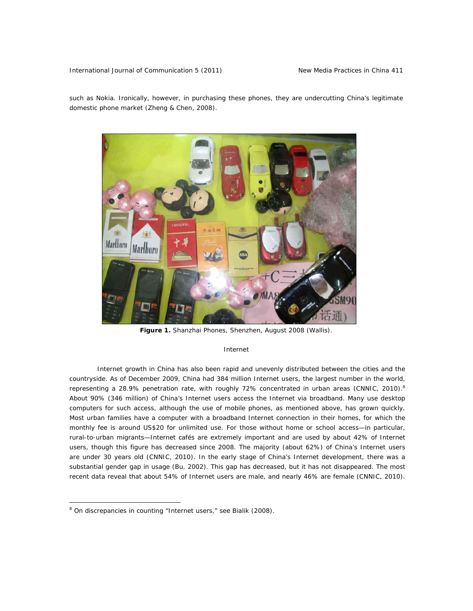such as Nokia. Ironically, however, in purchasing these phones, they are undercutting China's legitimate domestic phone market (Zheng & Chen, 2008).



*Figure 1. Shanzhai Phones, Shenzhen, August 2008 (Wallis).* 

### *Internet*

Internet growth in China has also been rapid and unevenly distributed between the cities and the countryside. As of December 2009, China had 384 million Internet users, the largest number in the world, representing a 28.9% penetration rate, with roughly 72% concentrated in urban areas (CNNIC, 2010).<sup>8</sup> About 90% (346 million) of China's Internet users access the Internet via broadband. Many use desktop computers for such access, although the use of mobile phones, as mentioned above, has grown quickly. Most urban families have a computer with a broadband Internet connection in their homes, for which the monthly fee is around US\$20 for unlimited use. For those without home or school access—in particular, rural-to-urban migrants—Internet cafés are extremely important and are used by about 42% of Internet users, though this figure has decreased since 2008. The majority (about 62%) of China's Internet users are under 30 years old (CNNIC, 2010). In the early stage of China's Internet development, there was a substantial gender gap in usage (Bu, 2002). This gap has decreased, but it has not disappeared. The most recent data reveal that about 54% of Internet users are male, and nearly 46% are female (CNNIC, 2010).

 $\overline{a}$ 

<sup>&</sup>lt;sup>8</sup> On discrepancies in counting "Internet users," see Bialik (2008).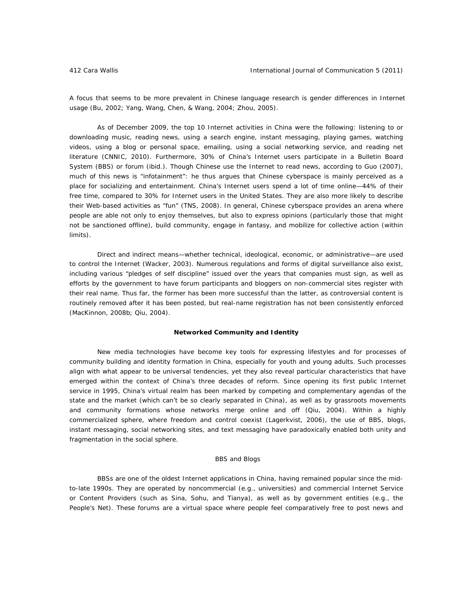A focus that seems to be more prevalent in Chinese language research is gender differences in Internet usage (Bu, 2002; Yang, Wang, Chen, & Wang, 2004; Zhou, 2005).

As of December 2009, the top 10 Internet activities in China were the following: listening to or downloading music, reading news, using a search engine, instant messaging, playing games, watching videos, using a blog or personal space, emailing, using a social networking service, and reading net literature (CNNIC, 2010). Furthermore, 30% of China's Internet users participate in a Bulletin Board System (BBS) or forum (ibid.). Though Chinese use the Internet to read news, according to Guo (2007), much of this news is "infotainment": he thus argues that Chinese cyberspace is mainly perceived as a place for socializing and entertainment. China's Internet users spend a lot of time online—44% of their free time, compared to 30% for Internet users in the United States. They are also more likely to describe their Web-based activities as "fun" (TNS, 2008). In general, Chinese cyberspace provides an arena where people are able not only to enjoy themselves, but also to express opinions (particularly those that might not be sanctioned offline), build community, engage in fantasy, and mobilize for collective action (within limits).

Direct and indirect means—whether technical, ideological, economic, or administrative—are used to control the Internet (Wacker, 2003). Numerous regulations and forms of digital surveillance also exist, including various "pledges of self discipline" issued over the years that companies must sign, as well as efforts by the government to have forum participants and bloggers on non-commercial sites register with their real name. Thus far, the former has been more successful than the latter, as controversial content is routinely removed after it has been posted, but real-name registration has not been consistently enforced (MacKinnon, 2008b; Qiu, 2004).

# **Networked Community and Identity**

New media technologies have become key tools for expressing lifestyles and for processes of community building and identity formation in China, especially for youth and young adults. Such processes align with what appear to be universal tendencies, yet they also reveal particular characteristics that have emerged within the context of China's three decades of reform. Since opening its first public Internet service in 1995, China's virtual realm has been marked by competing and complementary agendas of the state and the market (which can't be so clearly separated in China), as well as by grassroots movements and community formations whose networks merge online and off (Qiu, 2004). Within a highly commercialized sphere, where freedom and control coexist (Lagerkvist, 2006), the use of BBS, blogs, instant messaging, social networking sites, and text messaging have paradoxically enabled both unity and fragmentation in the social sphere.

### *BBS and Blogs*

BBSs are one of the oldest Internet applications in China, having remained popular since the midto-late 1990s. They are operated by noncommercial (e.g., universities) and commercial Internet Service or Content Providers (such as Sina, Sohu, and Tianya), as well as by government entities (e.g., the *People's Net*). These forums are a virtual space where people feel comparatively free to post news and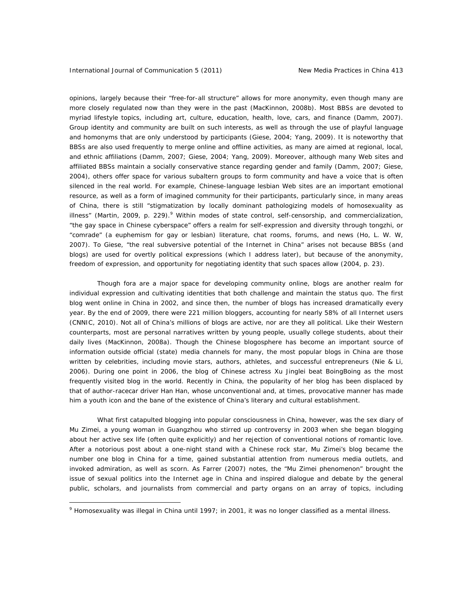opinions, largely because their "free-for-all structure" allows for more anonymity, even though many are more closely regulated now than they were in the past (MacKinnon, 2008b). Most BBSs are devoted to myriad lifestyle topics, including art, culture, education, health, love, cars, and finance (Damm, 2007). Group identity and community are built on such interests, as well as through the use of playful language and homonyms that are only understood by participants (Giese, 2004; Yang, 2009). It is noteworthy that BBSs are also used frequently to merge online and offline activities, as many are aimed at regional, local, and ethnic affiliations (Damm, 2007; Giese, 2004; Yang, 2009). Moreover, although many Web sites and affiliated BBSs maintain a socially conservative stance regarding gender and family (Damm, 2007; Giese, 2004), others offer space for various subaltern groups to form community and have a voice that is often silenced in the real world. For example, Chinese-language lesbian Web sites are an important emotional resource, as well as a form of imagined community for their participants, particularly since, in many areas of China, there is still "stigmatization by locally dominant pathologizing models of homosexuality as illness" (Martin, 2009, p. 229).<sup>9</sup> Within modes of state control, self-censorship, and commercialization, "the gay space in Chinese cyberspace" offers a realm for self-expression and diversity through *tongzhi*, or "comrade" (a euphemism for gay or lesbian) literature, chat rooms, forums, and news (Ho, L. W. W, 2007). To Giese, "the real subversive potential of the Internet in China" arises not because BBSs (and blogs) are used for overtly political expressions (which I address later), but because of the anonymity, freedom of expression, and opportunity for negotiating identity that such spaces allow (2004, p. 23).

Though fora are a major space for developing community online, blogs are another realm for individual expression and cultivating identities that both challenge and maintain the status quo. The first blog went online in China in 2002, and since then, the number of blogs has increased dramatically every year. By the end of 2009, there were 221 million bloggers, accounting for nearly 58% of all Internet users (CNNIC, 2010). Not all of China's millions of blogs are active, nor are they all political. Like their Western counterparts, most are personal narratives written by young people, usually college students, about their daily lives (MacKinnon, 2008a). Though the Chinese blogosphere has become an important source of information outside official (state) media channels for many, the most popular blogs in China are those written by celebrities, including movie stars, authors, athletes, and successful entrepreneurs (Nie & Li, 2006). During one point in 2006, the blog of Chinese actress Xu Jinglei beat BoingBoing as the most frequently visited blog in the world. Recently in China, the popularity of her blog has been displaced by that of author-racecar driver Han Han, whose unconventional and, at times, provocative manner has made him a youth icon and the bane of the existence of China's literary and cultural establishment.

What first catapulted blogging into popular consciousness in China, however, was the sex diary of Mu Zimei, a young woman in Guangzhou who stirred up controversy in 2003 when she began blogging about her active sex life (often quite explicitly) and her rejection of conventional notions of romantic love. After a notorious post about a one-night stand with a Chinese rock star, Mu Zimei's blog became the number one blog in China for a time, gained substantial attention from numerous media outlets, and invoked admiration, as well as scorn. As Farrer (2007) notes, the "Mu Zimei phenomenon" brought the issue of sexual politics into the Internet age in China and inspired dialogue and debate by the general public, scholars, and journalists from commercial and party organs on an array of topics, including

 $\overline{a}$ 

<sup>&</sup>lt;sup>9</sup> Homosexuality was illegal in China until 1997; in 2001, it was no longer classified as a mental illness.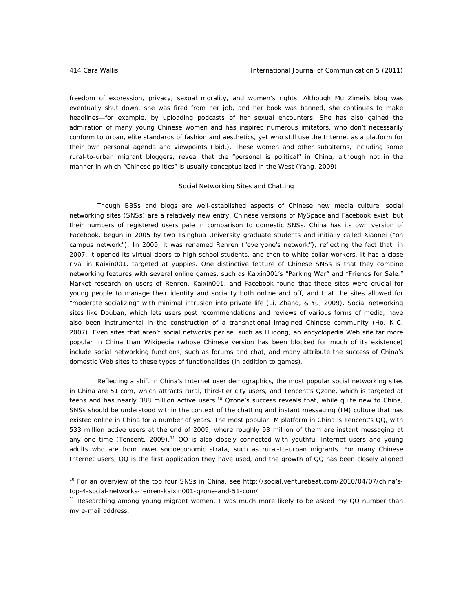freedom of expression, privacy, sexual morality, and women's rights. Although Mu Zimei's blog was eventually shut down, she was fired from her job, and her book was banned, she continues to make headlines—for example, by uploading podcasts of her sexual encounters. She has also gained the admiration of many young Chinese women and has inspired numerous imitators, who don't necessarily conform to urban, elite standards of fashion and aesthetics, yet who still use the Internet as a platform for their own personal agenda and viewpoints (ibid.). These women and other subalterns, including some rural-to-urban migrant bloggers, reveal that the "personal is political" in China, although not in the manner in which "Chinese politics" is usually conceptualized in the West (Yang, 2009).

# *Social Networking Sites and Chatting*

Though BBSs and blogs are well-established aspects of Chinese new media culture, social networking sites (SNSs) are a relatively new entry. Chinese versions of MySpace and Facebook exist, but their numbers of registered users pale in comparison to domestic SNSs. China has its own version of Facebook, begun in 2005 by two Tsinghua University graduate students and initially called Xiaonei ("on campus network"). In 2009, it was renamed Renren ("everyone's network"), reflecting the fact that, in 2007, it opened its virtual doors to high school students, and then to white-collar workers. It has a close rival in Kaixin001, targeted at yuppies. One distinctive feature of Chinese SNSs is that they combine networking features with several online games, such as Kaixin001's "Parking War" and "Friends for Sale." Market research on users of Renren, Kaixin001, and Facebook found that these sites were crucial for young people to manage their identity and sociality both online and off, and that the sites allowed for "moderate socializing" with minimal intrusion into private life (Li, Zhang, & Yu, 2009). Social networking sites like Douban, which lets users post recommendations and reviews of various forms of media, have also been instrumental in the construction of a transnational imagined Chinese community (Ho, K-C, 2007). Even sites that aren't social networks per se, such as Hudong, an encyclopedia Web site far more popular in China than Wikipedia (whose Chinese version has been blocked for much of its existence) include social networking functions, such as forums and chat, and many attribute the success of China's domestic Web sites to these types of functionalities (in addition to games).

Reflecting a shift in China's Internet user demographics, the most popular social networking sites in China are 51.com, which attracts rural, third-tier city users, and Tencent's Qzone, which is targeted at teens and has nearly 388 million active users.<sup>10</sup> Qzone's success reveals that, while quite new to China, SNSs should be understood within the context of the chatting and instant messaging (IM) culture that has existed online in China for a number of years. The most popular IM platform in China is Tencent's QQ, with 533 million active users at the end of 2009, where roughly 93 million of them are instant messaging at any one time (Tencent, 2009).<sup>11</sup> QQ is also closely connected with youthful Internet users and young adults who are from lower socioeconomic strata, such as rural-to-urban migrants. For many Chinese Internet users, QQ is the first application they have used, and the growth of QQ has been closely aligned

<sup>&</sup>lt;sup>10</sup> For an overview of the top four SNSs in China, see http://social.venturebeat.com/2010/04/07/china'stop-4-social-networks-renren-kaixin001-qzone-and-51-com/

<sup>&</sup>lt;sup>11</sup> Researching among young migrant women, I was much more likely to be asked my QQ number than my e-mail address.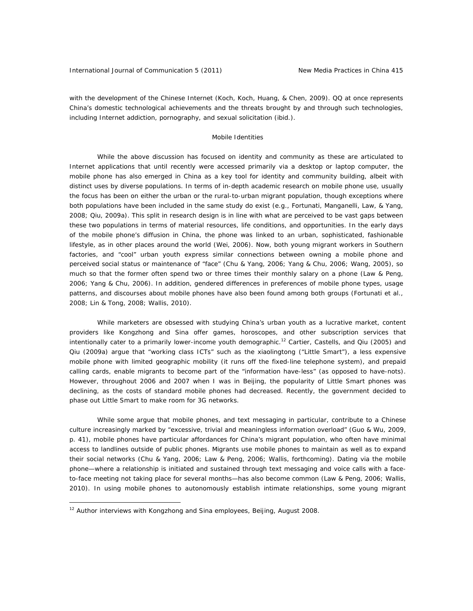with the development of the Chinese Internet (Koch, Koch, Huang, & Chen, 2009). QQ at once represents China's domestic technological achievements and the threats brought by and through such technologies, including Internet addiction, pornography, and sexual solicitation (ibid.).

### *Mobile Identities*

While the above discussion has focused on identity and community as these are articulated to Internet applications that until recently were accessed primarily via a desktop or laptop computer, the mobile phone has also emerged in China as a key tool for identity and community building, albeit with distinct uses by diverse populations. In terms of in-depth academic research on mobile phone use, usually the focus has been on either the urban *or* the rural-to-urban migrant population, though exceptions where both populations have been included in the same study do exist (e.g., Fortunati, Manganelli, Law, & Yang, 2008; Qiu, 2009a). This split in research design is in line with what are perceived to be vast gaps between these two populations in terms of material resources, life conditions, and opportunities. In the early days of the mobile phone's diffusion in China, the phone was linked to an urban, sophisticated, fashionable lifestyle, as in other places around the world (Wei, 2006). Now, both young migrant workers in Southern factories, and "cool" urban youth express similar connections between owning a mobile phone and perceived social status or maintenance of "face" (Chu & Yang, 2006; Yang & Chu, 2006; Wang, 2005), so much so that the former often spend two or three times their monthly salary on a phone (Law & Peng, 2006; Yang & Chu, 2006). In addition, gendered differences in preferences of mobile phone types, usage patterns, and discourses *about* mobile phones have also been found among both groups (Fortunati et al., 2008; Lin & Tong, 2008; Wallis, 2010).

While marketers are obsessed with studying China's urban youth as a lucrative market, content providers like Kongzhong and Sina offer games, horoscopes, and other subscription services that intentionally cater to a primarily lower-income youth demographic.<sup>12</sup> Cartier, Castells, and Qiu (2005) and Qiu (2009a) argue that "working class ICTs" such as the *xiaolingtong* ("Little Smart"), a less expensive mobile phone with limited geographic mobility (it runs off the fixed-line telephone system), and prepaid calling cards, enable migrants to become part of the "information have-less" (as opposed to have-nots). However, throughout 2006 and 2007 when I was in Beijing, the popularity of Little Smart phones was declining, as the costs of standard mobile phones had decreased. Recently, the government decided to phase out Little Smart to make room for 3G networks.

While some argue that mobile phones, and text messaging in particular, contribute to a Chinese culture increasingly marked by "excessive, trivial and meaningless information overload" (Guo & Wu, 2009, p. 41), mobile phones have particular affordances for China's migrant population, who often have minimal access to landlines outside of public phones. Migrants use mobile phones to maintain as well as to expand their social networks (Chu & Yang, 2006; Law & Peng, 2006; Wallis, forthcoming). Dating via the mobile phone—where a relationship is initiated and sustained through text messaging and voice calls with a faceto-face meeting not taking place for several months—has also become common (Law & Peng, 2006; Wallis, 2010). In using mobile phones to autonomously establish intimate relationships, some young migrant

 $\overline{a}$ 

<sup>&</sup>lt;sup>12</sup> Author interviews with Kongzhong and Sina employees, Beijing, August 2008.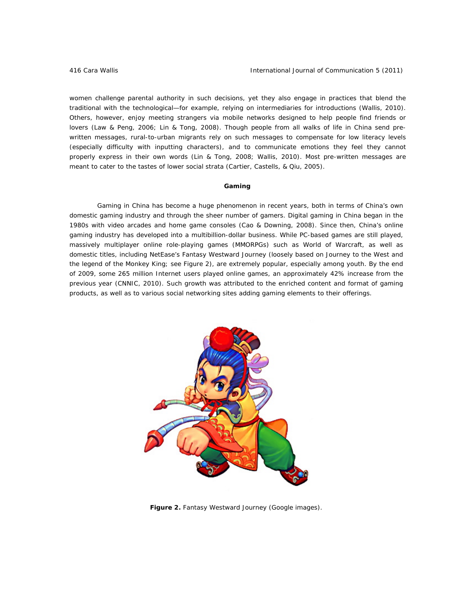women challenge parental authority in such decisions, yet they also engage in practices that blend the traditional with the technological—for example, relying on intermediaries for introductions (Wallis, 2010). Others, however, enjoy meeting strangers via mobile networks designed to help people find friends or lovers (Law & Peng, 2006; Lin & Tong, 2008). Though people from all walks of life in China send prewritten messages, rural-to-urban migrants rely on such messages to compensate for low literacy levels (especially difficulty with inputting characters), and to communicate emotions they feel they cannot properly express in their own words (Lin & Tong, 2008; Wallis, 2010). Most pre-written messages are meant to cater to the tastes of lower social strata (Cartier, Castells, & Qiu, 2005).

# **Gaming**

Gaming in China has become a huge phenomenon in recent years, both in terms of China's own domestic gaming industry and through the sheer number of gamers. Digital gaming in China began in the 1980s with video arcades and home game consoles (Cao & Downing, 2008). Since then, China's online gaming industry has developed into a multibillion-dollar business. While PC-based games are still played, massively multiplayer online role-playing games (MMORPGs) such as *World of Warcraft*, as well as domestic titles, including NetEase's *Fantasy Westward Journey* (loosely based on *Journey to the West* and the legend of the Monkey King; see Figure 2), are extremely popular, especially among youth. By the end of 2009, some 265 million Internet users played online games, an approximately 42% increase from the previous year (CNNIC, 2010). Such growth was attributed to the enriched content and format of gaming products, as well as to various social networking sites adding gaming elements to their offerings.



*Figure 2. Fantasy Westward Journey (Google images).*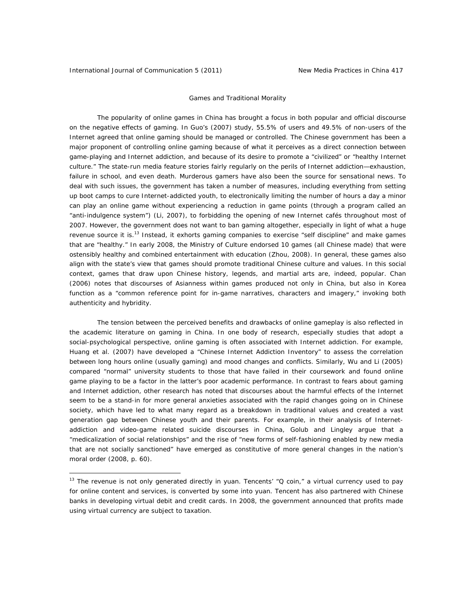# *Games and Traditional Morality*

The popularity of online games in China has brought a focus in both popular and official discourse on the negative effects of gaming. In Guo's (2007) study, 55.5% of users and 49.5% of non-users of the Internet agreed that online gaming should be managed or controlled. The Chinese government has been a major proponent of controlling online gaming because of what it perceives as a direct connection between game-playing and Internet addiction, and because of its desire to promote a "civilized" or "healthy Internet culture." The state-run media feature stories fairly regularly on the perils of Internet addiction—exhaustion, failure in school, and even death. Murderous gamers have also been the source for sensational news. To deal with such issues, the government has taken a number of measures, including everything from setting up boot camps to cure Internet-addicted youth, to electronically limiting the number of hours a day a minor can play an online game without experiencing a reduction in game points (through a program called an "anti-indulgence system") (Li, 2007), to forbidding the opening of new Internet cafés throughout most of 2007. However, the government does not want to ban gaming altogether, especially in light of what a huge revenue source it is.<sup>13</sup> Instead, it exhorts gaming companies to exercise "self discipline" and make games that are "healthy." In early 2008, the Ministry of Culture endorsed 10 games (all Chinese made) that were ostensibly healthy and combined entertainment with education (Zhou, 2008). In general, these games also align with the state's view that games should promote traditional Chinese culture and values. In this social context, games that draw upon Chinese history, legends, and martial arts are, indeed, popular. Chan (2006) notes that discourses of Asianness within games produced not only in China, but also in Korea function as a "common reference point for in-game narratives, characters and imagery," invoking both authenticity and hybridity.

The tension between the perceived benefits and drawbacks of online gameplay is also reflected in the academic literature on gaming in China. In one body of research, especially studies that adopt a social-psychological perspective, online gaming is often associated with Internet addiction. For example, Huang et al. (2007) have developed a "Chinese Internet Addiction Inventory" to assess the correlation between long hours online (usually gaming) and mood changes and conflicts. Similarly, Wu and Li (2005) compared "normal" university students to those that have failed in their coursework and found online game playing to be a factor in the latter's poor academic performance. In contrast to fears about gaming and Internet addiction, other research has noted that discourses about the harmful effects of the Internet seem to be a stand-in for more general anxieties associated with the rapid changes going on in Chinese society, which have led to what many regard as a breakdown in traditional values and created a vast generation gap between Chinese youth and their parents. For example, in their analysis of Internetaddiction and video-game related suicide discourses in China, Golub and Lingley argue that a "medicalization of social relationships" and the rise of "new forms of self-fashioning enabled by new media that are not socially sanctioned" have emerged as constitutive of more general changes in the nation's moral order (2008, p. 60).

<sup>13</sup> The revenue is not only generated directly in *yuan*. Tencents' "Q coin," a virtual currency used to pay for online content and services, is converted by some into *yuan*. Tencent has also partnered with Chinese banks in developing virtual debit and credit cards. In 2008, the government announced that profits made using virtual currency are subject to taxation.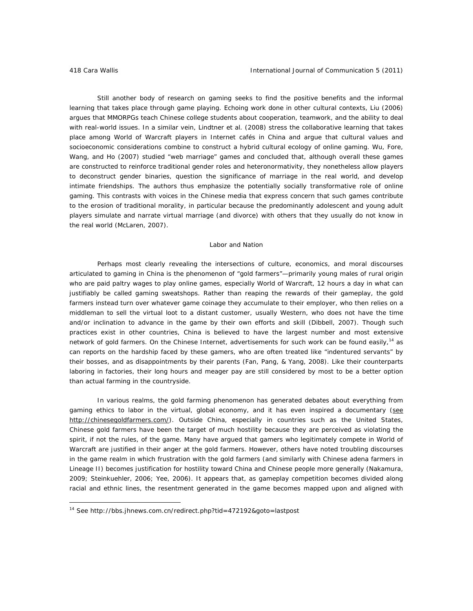Still another body of research on gaming seeks to find the positive benefits and the informal learning that takes place through game playing. Echoing work done in other cultural contexts, Liu (2006) argues that MMORPGs teach Chinese college students about cooperation, teamwork, and the ability to deal with real-world issues. In a similar vein, Lindtner et al. (2008) stress the collaborative learning that takes place among *World of Warcraft* players in Internet cafés in China and argue that cultural values and socioeconomic considerations combine to construct a hybrid cultural ecology of online gaming. Wu, Fore, Wang, and Ho (2007) studied "web marriage" games and concluded that, although overall these games are constructed to reinforce traditional gender roles and heteronormativity, they nonetheless allow players to deconstruct gender binaries, question the significance of marriage in the real world, and develop intimate friendships. The authors thus emphasize the potentially socially transformative role of online gaming. This contrasts with voices in the Chinese media that express concern that such games contribute to the erosion of traditional morality, in particular because the predominantly adolescent and young adult players simulate and narrate virtual marriage (and divorce) with others that they usually do not know in the real world (McLaren, 2007).

### *Labor and Nation*

Perhaps most clearly revealing the intersections of culture, economics, and moral discourses articulated to gaming in China is the phenomenon of "gold farmers"—primarily young males of rural origin who are paid paltry wages to play online games, especially *World of Warcraft*, 12 hours a day in what can justifiably be called gaming sweatshops. Rather than reaping the rewards of their gameplay, the gold farmers instead turn over whatever game coinage they accumulate to their employer, who then relies on a middleman to sell the virtual loot to a distant customer, usually Western, who does not have the time and/or inclination to advance in the game by their own efforts and skill (Dibbell, 2007). Though such practices exist in other countries, China is believed to have the largest number and most extensive network of gold farmers. On the Chinese Internet, advertisements for such work can be found easily,<sup>14</sup> as can reports on the hardship faced by these gamers, who are often treated like "indentured servants" by their bosses, and as disappointments by their parents (Fan, Pang, & Yang, 2008). Like their counterparts laboring in factories, their long hours and meager pay are still considered by most to be a better option than actual farming in the countryside.

In various realms, the gold farming phenomenon has generated debates about everything from gaming ethics to labor in the virtual, global economy, and it has even inspired a documentary (see http://chinesegoldfarmers.com/). Outside China, especially in countries such as the United States, Chinese gold farmers have been the target of much hostility because they are perceived as violating the spirit, if not the rules, of the game. Many have argued that gamers who legitimately compete in *World of Warcraft* are justified in their anger at the gold farmers. However, others have noted troubling discourses in the game realm in which frustration with the gold farmers (and similarly with Chinese adena farmers in *Lineage II*) becomes justification for hostility toward China and Chinese people more generally (Nakamura, 2009; Steinkuehler, 2006; Yee, 2006). It appears that, as gameplay competition becomes divided along racial and ethnic lines, the resentment generated in the game becomes mapped upon and aligned with

<sup>14</sup> See http://bbs.jhnews.com.cn/redirect.php?tid=472192&goto=lastpost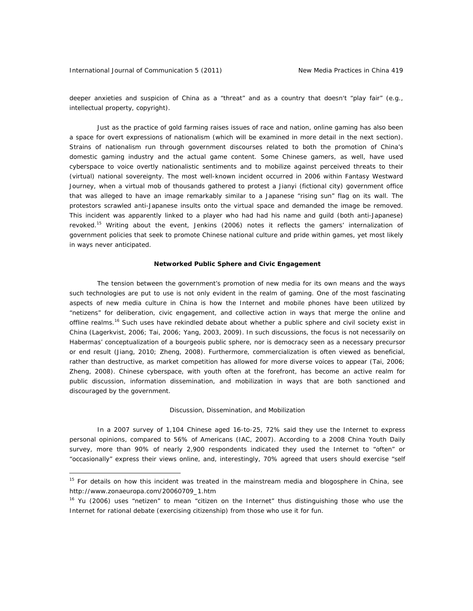deeper anxieties and suspicion of China as a "threat" and as a country that doesn't "play fair" (e.g., intellectual property, copyright).

Just as the practice of gold farming raises issues of race and nation, online gaming has also been a space for overt expressions of nationalism (which will be examined in more detail in the next section). Strains of nationalism run through government discourses related to both the promotion of China's domestic gaming industry and the actual game content. Some Chinese gamers, as well, have used cyberspace to voice overtly nationalistic sentiments and to mobilize against perceived threats to their (virtual) national sovereignty. The most well-known incident occurred in 2006 within *Fantasy Westward Journey,* when a virtual mob of thousands gathered to protest a Jianyi (fictional city) government office that was alleged to have an image remarkably similar to a Japanese "rising sun" flag on its wall. The protestors scrawled anti-Japanese insults onto the virtual space and demanded the image be removed. This incident was apparently linked to a player who had had his name and guild (both anti-Japanese) revoked.<sup>15</sup> Writing about the event, Jenkins (2006) notes it reflects the gamers' internalization of government policies that seek to promote Chinese national culture and pride within games, yet most likely in ways never anticipated.

# **Networked Public Sphere and Civic Engagement**

The tension between the government's promotion of new media for its own means and the ways such technologies are put to use is not only evident in the realm of gaming. One of the most fascinating aspects of new media culture in China is how the Internet and mobile phones have been utilized by "netizens" for deliberation, civic engagement, and collective action in ways that merge the online and offline realms.<sup>16</sup> Such uses have rekindled debate about whether a public sphere and civil society exist in China (Lagerkvist, 2006; Tai, 2006; Yang, 2003, 2009). In such discussions, the focus is not necessarily on Habermas' conceptualization of a bourgeois public sphere, nor is democracy seen as a necessary precursor or end result (Jiang, 2010; Zheng, 2008). Furthermore, commercialization is often viewed as beneficial, rather than destructive, as market competition has allowed for more diverse voices to appear (Tai, 2006; Zheng, 2008). Chinese cyberspace, with youth often at the forefront, has become an active realm for public discussion, information dissemination, and mobilization in ways that are both sanctioned and discouraged by the government.

### *Discussion, Dissemination, and Mobilization*

In a 2007 survey of 1,104 Chinese aged 16-to-25, 72% said they use the Internet to express personal opinions, compared to 56% of Americans (IAC, 2007). According to a 2008 *China Youth Daily* survey, more than 90% of nearly 2,900 respondents indicated they used the Internet to "often" or "occasionally" express their views online, and, interestingly, 70% agreed that users should exercise "self

<sup>&</sup>lt;sup>15</sup> For details on how this incident was treated in the mainstream media and blogosphere in China, see http://www.zonaeuropa.com/20060709\_1.htm

<sup>&</sup>lt;sup>16</sup> Yu (2006) uses "netizen" to mean "citizen on the Internet" thus distinguishing those who use the Internet for rational debate (exercising citizenship) from those who use it for fun.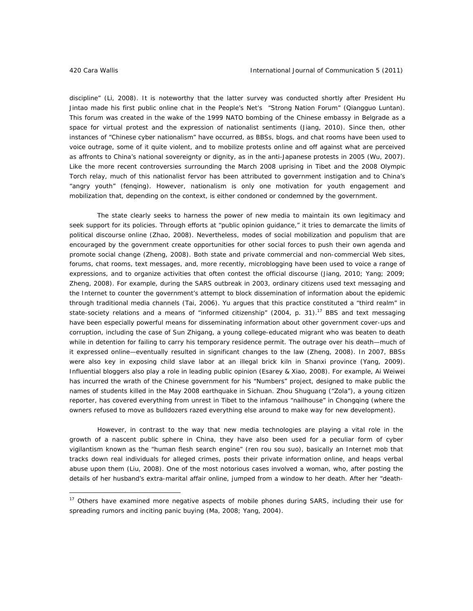discipline" (Li, 2008). It is noteworthy that the latter survey was conducted shortly after President Hu Jintao made his first public online chat in the *People's Net's* "Strong Nation Forum" (*Qiangguo Luntan*). This forum was created in the wake of the 1999 NATO bombing of the Chinese embassy in Belgrade as a space for virtual protest and the expression of nationalist sentiments (Jiang, 2010). Since then, other instances of "Chinese cyber nationalism" have occurred, as BBSs, blogs, and chat rooms have been used to voice outrage, some of it quite violent, and to mobilize protests online and off against what are perceived as affronts to China's national sovereignty or dignity, as in the anti-Japanese protests in 2005 (Wu, 2007). Like the more recent controversies surrounding the March 2008 uprising in Tibet and the 2008 Olympic Torch relay, much of this nationalist fervor has been attributed to government instigation and to China's "angry youth" (*fenqing*). However, nationalism is only one motivation for youth engagement and mobilization that, depending on the context, is either condoned or condemned by the government.

The state clearly seeks to harness the power of new media to maintain its own legitimacy and seek support for its policies. Through efforts at "public opinion guidance," it tries to demarcate the limits of political discourse online (Zhao, 2008). Nevertheless, modes of social mobilization and populism that are encouraged by the government create opportunities for other social forces to push their own agenda and promote social change (Zheng, 2008). Both state and private commercial and non-commercial Web sites, forums, chat rooms, text messages, and, more recently, microblogging have been used to voice a range of expressions, and to organize activities that often contest the official discourse (Jiang, 2010; Yang; 2009; Zheng, 2008). For example, during the SARS outbreak in 2003, ordinary citizens used text messaging and the Internet to counter the government's attempt to block dissemination of information about the epidemic through traditional media channels (Tai, 2006). Yu argues that this practice constituted a "third realm" in state-society relations and a means of "informed citizenship" (2004, p. 31).<sup>17</sup> BBS and text messaging have been especially powerful means for disseminating information about other government cover-ups and corruption, including the case of Sun Zhigang, a young college-educated migrant who was beaten to death while in detention for failing to carry his temporary residence permit. The outrage over his death—much of it expressed online—eventually resulted in significant changes to the law (Zheng, 2008). In 2007, BBSs were also key in exposing child slave labor at an illegal brick kiln in Shanxi province (Yang, 2009). Influential bloggers also play a role in leading public opinion (Esarey & Xiao, 2008). For example, Ai Weiwei has incurred the wrath of the Chinese government for his "Numbers" project, designed to make public the names of students killed in the May 2008 earthquake in Sichuan. Zhou Shuguang ("Zola"), a young citizen reporter, has covered everything from unrest in Tibet to the infamous "nailhouse" in Chongqing (where the owners refused to move as bulldozers razed everything else around to make way for new development).

However, in contrast to the way that new media technologies are playing a vital role in the growth of a nascent public sphere in China, they have also been used for a peculiar form of cyber vigilantism known as the "human flesh search engine" (*ren rou sou suo*), basically an Internet mob that tracks down real individuals for alleged crimes, posts their private information online, and heaps verbal abuse upon them (Liu, 2008). One of the most notorious cases involved a woman, who, after posting the details of her husband's extra-marital affair online, jumped from a window to her death. After her "death-

<sup>&</sup>lt;sup>17</sup> Others have examined more negative aspects of mobile phones during SARS, including their use for spreading rumors and inciting panic buying (Ma, 2008; Yang, 2004).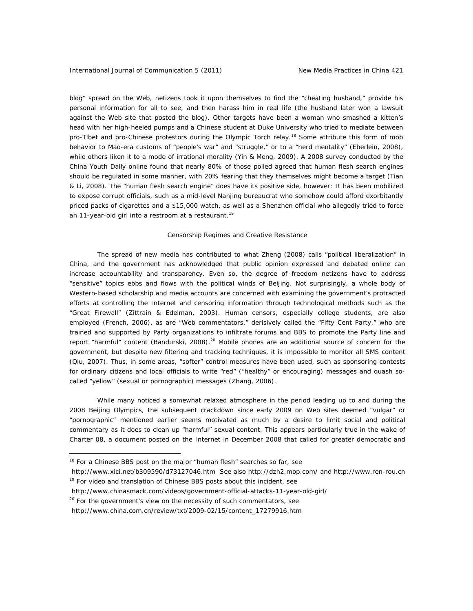blog" spread on the Web, netizens took it upon themselves to find the "cheating husband," provide his personal information for all to see, and then harass him in real life (the husband later won a lawsuit against the Web site that posted the blog). Other targets have been a woman who smashed a kitten's head with her high-heeled pumps and a Chinese student at Duke University who tried to mediate between pro-Tibet and pro-Chinese protestors during the Olympic Torch relay.<sup>18</sup> Some attribute this form of mob behavior to Mao-era customs of "people's war" and "struggle," or to a "herd mentality" (Eberlein, 2008), while others liken it to a mode of irrational morality (Yin & Meng, 2009). A 2008 survey conducted by the *China Youth Daily* online found that nearly 80% of those polled agreed that human flesh search engines should be regulated in some manner, with 20% fearing that they themselves might become a target (Tian & Li, 2008). The "human flesh search engine" does have its positive side, however: It has been mobilized to expose corrupt officials, such as a mid-level Nanjing bureaucrat who somehow could afford exorbitantly priced packs of cigarettes and a \$15,000 watch, as well as a Shenzhen official who allegedly tried to force an 11-year-old girl into a restroom at a restaurant.<sup>19</sup>

### *Censorship Regimes and Creative Resistance*

The spread of new media has contributed to what Zheng (2008) calls "political liberalization" in China, and the government has acknowledged that public opinion expressed and debated online can increase accountability and transparency. Even so, the degree of freedom netizens have to address "sensitive" topics ebbs and flows with the political winds of Beijing. Not surprisingly, a whole body of Western-based scholarship and media accounts are concerned with examining the government's protracted efforts at controlling the Internet and censoring information through technological methods such as the "Great Firewall" (Zittrain & Edelman, 2003). Human censors, especially college students, are also employed (French, 2006), as are "Web commentators," derisively called the "Fifty Cent Party," who are trained and supported by Party organizations to infiltrate forums and BBS to promote the Party line and report "harmful" content (Bandurski, 2008).<sup>20</sup> Mobile phones are an additional source of concern for the government, but despite new filtering and tracking techniques, it is impossible to monitor all SMS content (Qiu, 2007). Thus, in some areas, "softer" control measures have been used, such as sponsoring contests for ordinary citizens and local officials to write "red" ("healthy" or encouraging) messages and quash socalled "yellow" (sexual or pornographic) messages (Zhang, 2006).

While many noticed a somewhat relaxed atmosphere in the period leading up to and during the 2008 Beijing Olympics, the subsequent crackdown since early 2009 on Web sites deemed "vulgar" or "pornographic" mentioned earlier seems motivated as much by a desire to limit social and political commentary as it does to clean up "harmful" sexual content. This appears particularly true in the wake of Charter 08, a document posted on the Internet in December 2008 that called for greater democratic and

 $\overline{a}$ 

 $18$  For a Chinese BBS post on the major "human flesh" searches so far, see

http://www.xici.net/b309590/d73127046.htm See also http://dzh2.mop.com/ and http://www.ren-rou.cn  $19$  For video and translation of Chinese BBS posts about this incident, see

http://www.chinasmack.com/videos/government-official-attacks-11-year-old-girl/

<sup>&</sup>lt;sup>20</sup> For the government's view on the necessity of such commentators, see

http://www.china.com.cn/review/txt/2009-02/15/content\_17279916.htm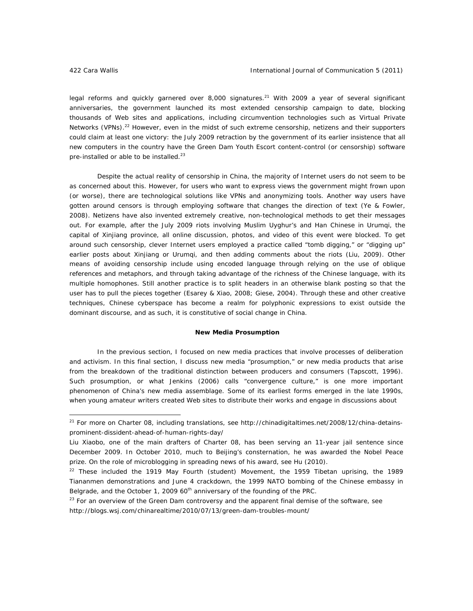legal reforms and quickly garnered over 8,000 signatures.<sup>21</sup> With 2009 a year of several significant anniversaries, the government launched its most extended censorship campaign to date, blocking thousands of Web sites and applications, including circumvention technologies such as Virtual Private Networks (VPNs).<sup>22</sup> However, even in the midst of such extreme censorship, netizens and their supporters could claim at least one victory: the July 2009 retraction by the government of its earlier insistence that all new computers in the country have the Green Dam Youth Escort content-control (or censorship) software pre-installed or able to be installed.<sup>23</sup>

Despite the actual reality of censorship in China, the majority of Internet users do not seem to be as concerned about this. However, for users who want to express views the government might frown upon (or worse), there are technological solutions like VPNs and anonymizing tools. Another way users have gotten around censors is through employing software that changes the direction of text (Ye & Fowler, 2008). Netizens have also invented extremely creative, non-technological methods to get their messages out. For example, after the July 2009 riots involving Muslim Uyghur's and Han Chinese in Urumqi, the capital of Xinjiang province, all online discussion, photos, and video of this event were blocked. To get around such censorship, clever Internet users employed a practice called "tomb digging," or "digging up" earlier posts about Xinjiang or Urumqi, and then adding comments about the riots (Liu, 2009). Other means of avoiding censorship include using encoded language through relying on the use of oblique references and metaphors, and through taking advantage of the richness of the Chinese language, with its multiple homophones. Still another practice is to split headers in an otherwise blank posting so that the user has to pull the pieces together (Esarey & Xiao, 2008; Giese, 2004). Through these and other creative techniques, Chinese cyberspace has become a realm for polyphonic expressions to exist outside the dominant discourse, and as such, it is constitutive of social change in China.

# **New Media Prosumption**

In the previous section, I focused on new media practices that involve *processes* of deliberation and activism. In this final section, I discuss new media "prosumption," or new media *products* that arise from the breakdown of the traditional distinction between producers and consumers (Tapscott, 1996). Such prosumption, or what Jenkins (2006) calls "convergence culture," is one more important phenomenon of China's new media assemblage. Some of its earliest forms emerged in the late 1990s, when young amateur writers created Web sites to distribute their works and engage in discussions about

 $21$  For more on Charter 08, including translations, see http://chinadigitaltimes.net/2008/12/china-detainsprominent-dissident-ahead-of-human-rights-day/

Liu Xiaobo, one of the main drafters of Charter 08, has been serving an 11-year jail sentence since December 2009. In October 2010, much to Beijing's consternation, he was awarded the Nobel Peace prize. On the role of microblogging in spreading news of his award, see Hu (2010).

 $22$  These included the 1919 May Fourth (student) Movement, the 1959 Tibetan uprising, the 1989 Tiananmen demonstrations and June 4 crackdown, the 1999 NATO bombing of the Chinese embassy in Belgrade, and the October 1, 2009  $60<sup>th</sup>$  anniversary of the founding of the PRC.

 $23$  For an overview of the Green Dam controversy and the apparent final demise of the software, see http://blogs.wsj.com/chinarealtime/2010/07/13/green-dam-troubles-mount/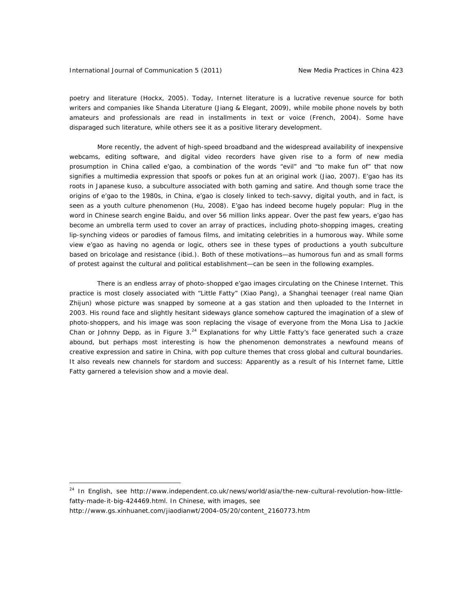# International Journal of Communication 5 (2011) New Media Practices in China 423

poetry and literature (Hockx, 2005). Today, Internet literature is a lucrative revenue source for both writers and companies like Shanda Literature (Jiang & Elegant, 2009), while mobile phone novels by both amateurs and professionals are read in installments in text or voice (French, 2004). Some have disparaged such literature, while others see it as a positive literary development.

More recently, the advent of high-speed broadband and the widespread availability of inexpensive webcams, editing software, and digital video recorders have given rise to a form of new media prosumption in China called *e'gao*, a combination of the words "evil" and "to make fun of" that now signifies a multimedia expression that spoofs or pokes fun at an original work (Jiao, 2007). *E'gao* has its roots in Japanese *kuso*, a subculture associated with both gaming and satire. And though some trace the origins of *e'gao* to the 1980s, in China, *e'gao* is closely linked to tech-savvy, digital youth, and in fact, is seen as a youth culture phenomenon (Hu, 2008). *E'gao* has indeed become hugely popular: Plug in the word in Chinese search engine Baidu, and over 56 million links appear. Over the past few years, *e'gao* has become an umbrella term used to cover an array of practices, including photo-shopping images, creating lip-synching videos or parodies of famous films, and imitating celebrities in a humorous way. While some view *e'gao* as having no agenda or logic, others see in these types of productions a youth subculture based on bricolage and resistance (ibid.). Both of these motivations—as humorous fun and as small forms of protest against the cultural and political establishment—can be seen in the following examples.

There is an endless array of photo-shopped *e'gao* images circulating on the Chinese Internet. This practice is most closely associated with "Little Fatty" (*Xiao Pang)*, a Shanghai teenager (real name Qian Zhijun) whose picture was snapped by someone at a gas station and then uploaded to the Internet in 2003. His round face and slightly hesitant sideways glance somehow captured the imagination of a slew of photo-shoppers, and his image was soon replacing the visage of everyone from the Mona Lisa to Jackie Chan or Johnny Depp, as in Figure 3.<sup>24</sup> Explanations for why Little Fatty's face generated such a craze abound, but perhaps most interesting is how the phenomenon demonstrates a newfound means of creative expression and satire in China, with pop culture themes that cross global and cultural boundaries. It also reveals new channels for stardom and success: Apparently as a result of his Internet fame, Little Fatty garnered a television show and a movie deal.

 $\overline{a}$ 

<sup>&</sup>lt;sup>24</sup> In English, see http://www.independent.co.uk/news/world/asia/the-new-cultural-revolution-how-littlefatty-made-it-big-424469.html. In Chinese, with images, see

http://www.gs.xinhuanet.com/jiaodianwt/2004-05/20/content\_2160773.htm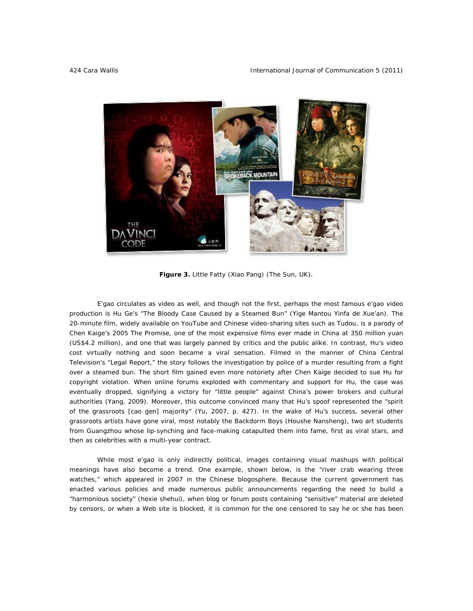

*Figure 3. Little Fatty (Xiao Pang) (The Sun,* UK*).* 

*E'gao* circulates as video as well, and though not the first, perhaps the most famous *e'gao* video production is Hu Ge's "The Bloody Case Caused by a Steamed Bun" (*Yige Mantou Yinfa de Xue'an*). The 20-minute film, widely available on YouTube and Chinese video-sharing sites such as Tudou, is a parody of Chen Kaige's 2005 *The Promise*, one of the most expensive films ever made in China at 350 million yuan (US\$4.2 million), and one that was largely panned by critics and the public alike. In contrast, Hu's video cost virtually nothing and soon became a viral sensation. Filmed in the manner of China Central Television's "Legal Report," the story follows the investigation by police of a murder resulting from a fight over a steamed bun. The short film gained even more notoriety after Chen Kaige decided to sue Hu for copyright violation. When online forums exploded with commentary and support for Hu, the case was eventually dropped, signifying a victory for "little people" against China's power brokers and cultural authorities (Yang, 2009). Moreover, this outcome convinced many that Hu's spoof represented the "spirit of the grassroots [*cao gen*] majority" (Yu, 2007, p. 427). In the wake of Hu's success, several other grassroots artists have gone viral, most notably the Backdorm Boys (*Houshe Nansheng*), two art students from Guangzhou whose lip-synching and face-making catapulted them into fame, first as viral stars, and then as celebrities with a multi-year contract.

While most *e'gao* is only indirectly political, images containing visual mashups with political meanings have also become a trend. One example, shown below, is the "river crab wearing three watches," which appeared in 2007 in the Chinese blogosphere. Because the current government has enacted various policies and made numerous public announcements regarding the need to build a "harmonious society" (*hexie shehui*), when blog or forum posts containing "sensitive" material are deleted by censors, or when a Web site is blocked, it is common for the one censored to say he or she has been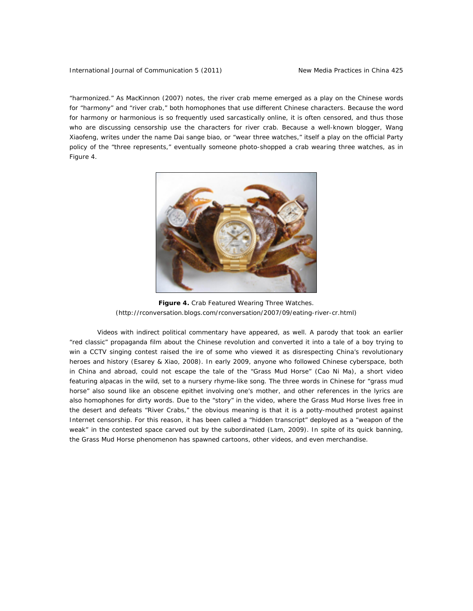# International Journal of Communication 5 (2011) New Media Practices in China 425

"harmonized." As MacKinnon (2007) notes, the river crab meme emerged as a play on the Chinese words for "harmony" and "river crab," both homophones that use different Chinese characters. Because the word for harmony or harmonious is so frequently used sarcastically online, it is often censored, and thus those who are discussing censorship use the characters for river crab. Because a well-known blogger, Wang Xiaofeng, writes under the name *Dai sange biao*, or "wear three watches," itself a play on the official Party policy of the "three represents," eventually someone photo-shopped a crab wearing three watches, as in Figure 4.



*Figure 4. Crab Featured Wearing Three Watches.* (http://rconversation.blogs.com/rconversation/2007/09/eating-river-cr.html)

Videos with indirect political commentary have appeared, as well. A parody that took an earlier "red classic" propaganda film about the Chinese revolution and converted it into a tale of a boy trying to win a CCTV singing contest raised the ire of some who viewed it as disrespecting China's revolutionary heroes and history (Esarey & Xiao, 2008). In early 2009, anyone who followed Chinese cyberspace, both in China and abroad, could not escape the tale of the "Grass Mud Horse" (*Cao Ni Ma*), a short video featuring alpacas in the wild, set to a nursery rhyme-like song. The three words in Chinese for "grass mud horse" also sound like an obscene epithet involving one's mother, and other references in the lyrics are also homophones for dirty words. Due to the "story" in the video, where the Grass Mud Horse lives free in the desert and defeats "River Crabs," the obvious meaning is that it is a potty-mouthed protest against Internet censorship. For this reason, it has been called a "hidden transcript" deployed as a "weapon of the weak" in the contested space carved out by the subordinated (Lam, 2009). In spite of its quick banning, the Grass Mud Horse phenomenon has spawned cartoons, other videos, and even merchandise.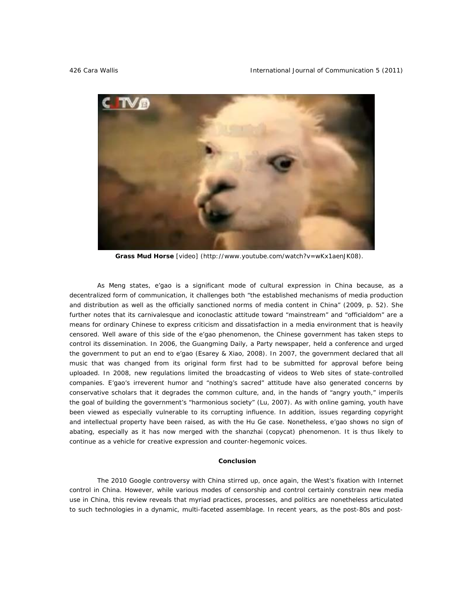

 **Grass Mud Horse** [\[video\] \(http://www.youtube.com/watch?v=wKx1aenJK08\).](http://www.youtube.com/watch?v=wKx1aenJK08) 

As Meng states, *e'gao* is a significant mode of cultural expression in China because, as a decentralized form of communication, it challenges both "the established mechanisms of media production and distribution as well as the officially sanctioned norms of media content in China" (2009, p. 52). She further notes that its carnivalesque and iconoclastic attitude toward "mainstream" and "officialdom" are a means for ordinary Chinese to express criticism and dissatisfaction in a media environment that is heavily censored. Well aware of this side of the *e'gao* phenomenon, the Chinese government has taken steps to control its dissemination. In 2006, the *Guangming Daily*, a Party newspaper, held a conference and urged the government to put an end to *e'gao* (Esarey & Xiao, 2008). In 2007, the government declared that all music that was changed from its original form first had to be submitted for approval before being uploaded. In 2008, new regulations limited the broadcasting of videos to Web sites of state-controlled companies. *E'gao*'s irreverent humor and "nothing's sacred" attitude have also generated concerns by conservative scholars that it degrades the common culture, and, in the hands of "angry youth," imperils the goal of building the government's "harmonious society" (Lu, 2007). As with online gaming, youth have been viewed as especially vulnerable to its corrupting influence. In addition, issues regarding copyright and intellectual property have been raised, as with the Hu Ge case. Nonetheless, *e'gao* shows no sign of abating, especially as it has now merged with the *shanzhai* (copycat) phenomenon. It is thus likely to continue as a vehicle for creative expression and counter-hegemonic voices.

# **Conclusion**

The 2010 Google controversy with China stirred up, once again, the West's fixation with Internet control in China. However, while various modes of censorship and control certainly constrain new media use in China, this review reveals that myriad practices, processes, and politics are nonetheless articulated to such technologies in a dynamic, multi-faceted assemblage. In recent years, as the post-80s and post-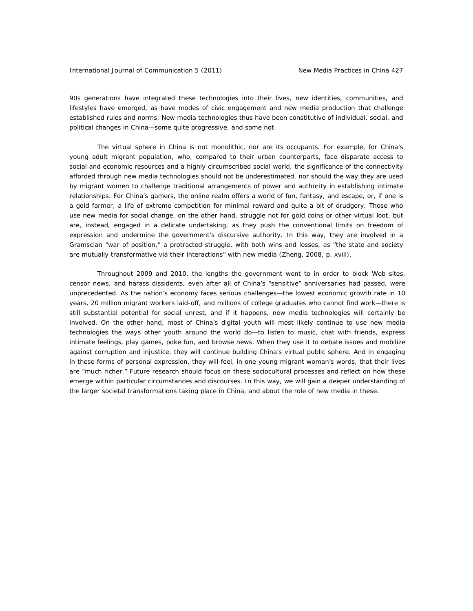# International Journal of Communication 5 (2011) New Media Practices in China 427

90s generations have integrated these technologies into their lives, new identities, communities, and lifestyles have emerged, as have modes of civic engagement and new media production that challenge established rules and norms. New media technologies thus have been constitutive of individual, social, and political changes in China—some quite progressive, and some not.

The virtual sphere in China is not monolithic, nor are its occupants. For example, for China's young adult migrant population, who, compared to their urban counterparts, face disparate access to social and economic resources and a highly circumscribed social world, the significance of the *connectivity* afforded through new media technologies should not be underestimated, nor should the way they are used by migrant women to challenge traditional arrangements of power and authority in establishing intimate relationships. For China's gamers, the online realm offers a world of fun, fantasy, and escape, or, if one is a gold farmer, a life of extreme competition for minimal reward and quite a bit of drudgery. Those who use new media for social change, on the other hand, struggle not for gold coins or other virtual loot, but are, instead, engaged in a delicate undertaking, as they push the conventional limits on freedom of expression and undermine the government's discursive authority. In this way, they are involved in a Gramscian "war of position," a protracted struggle, with both wins and losses, as "the state and society are mutually transformative via their interactions" with new media (Zheng, 2008, p. xviii).

Throughout 2009 and 2010, the lengths the government went to in order to block Web sites, censor news, and harass dissidents, even after all of China's "sensitive" anniversaries had passed, were unprecedented. As the nation's economy faces serious challenges—the lowest economic growth rate in 10 years, 20 million migrant workers laid-off, and millions of college graduates who cannot find work—there is still substantial potential for social unrest, and if it happens, new media technologies will certainly be involved. On the other hand, most of China's digital youth will most likely continue to use new media technologies the ways other youth around the world do—to listen to music, chat with friends, express intimate feelings, play games, poke fun, and browse news. When they use it to debate issues and mobilize against corruption and injustice, they will continue building China's virtual public sphere. And in engaging in these forms of personal expression, they will feel, in one young migrant woman's words, that their lives are "much richer." Future research should focus on these sociocultural processes and reflect on how these emerge within particular circumstances and discourses. In this way, we will gain a deeper understanding of the larger societal transformations taking place in China, and about the role of new media in these.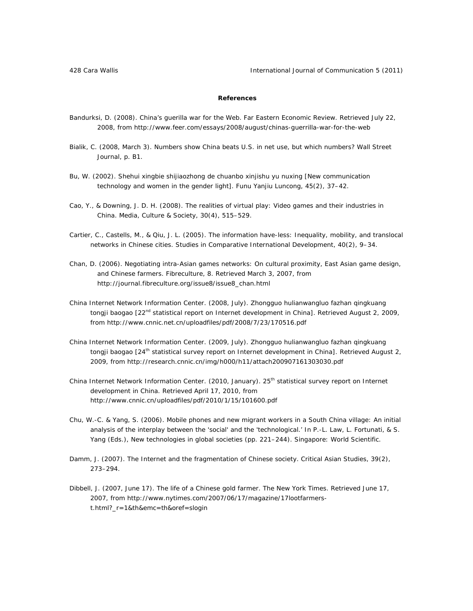# **References**

- Bandurksi, D. (2008). China's guerilla war for the Web. *Far Eastern Economic Review.* Retrieved July 22, 2008, from http://www.feer.com/essays/2008/august/chinas-guerrilla-war-for-the-web
- Bialik, C. (2008, March 3). Numbers show China beats U.S. in net use, but which numbers? *Wall Street Journal*, p. B1.
- Bu, W. (2002). Shehui xingbie shijiaozhong de chuanbo xinjishu yu nuxing [New communication technology and women in the gender light]. *Funu Yanjiu Luncong, 45*(2), 37–42.
- Cao, Y., & Downing, J. D. H. (2008). The realities of virtual play: Video games and their industries in China. *Media, Culture & Society, 30*(4), 515–529.
- Cartier, C., Castells, M., & Qiu, J. L. (2005). The information have-less: Inequality, mobility, and translocal networks in Chinese cities. *Studies in Comparative International Development, 40*(2), 9–34.
- Chan, D. (2006). Negotiating intra-Asian games networks: On cultural proximity, East Asian game design, and Chinese farmers. *Fibreculture*, 8. Retrieved March 3, 2007, from http://journal.fibreculture.org/issue8/issue8\_chan.html
- China Internet Network Information Center. (2008, July). *Zhongguo hulianwangluo fazhan qingkuang tongji baogao* [*22nd statistical report on Internet development in China*]. Retrieved August 2, 2009, from http://www.cnnic.net.cn/uploadfiles/pdf/2008/7/23/170516.pdf
- China Internet Network Information Center. (2009, July). *Zhongguo hulianwangluo fazhan qingkuang tongji baogao* [*24th statistical survey report on Internet development in China*]. Retrieved August 2, 2009, from http://research.cnnic.cn/img/h000/h11/attach200907161303030.pdf
- China Internet Network Information Center. (2010, January). *25th statistical survey report on Internet development in China*. Retrieved April 17, 2010, from http://www.cnnic.cn/uploadfiles/pdf/2010/1/15/101600.pdf
- Chu, W.-C. & Yang, S. (2006). Mobile phones and new migrant workers in a South China village: An initial analysis of the interplay between the 'social' and the 'technological.' In P.-L. Law, L. Fortunati, & S. Yang (Eds.), *New technologies in global societies* (pp. 221–244). Singapore: World Scientific.
- Damm, J. (2007). The Internet and the fragmentation of Chinese society. *Critical Asian Studies, 39*(2), 273–294.
- Dibbell, J. (2007, June 17). The life of a Chinese gold farmer. *The New York Times.* Retrieved June 17, 2007, from http://www.nytimes.com/2007/06/17/magazine/17lootfarmerst.html?\_r=1&th&emc=th&oref=slogin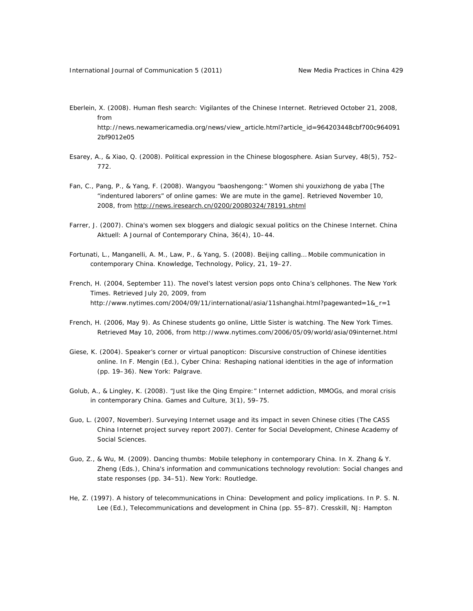- Eberlein, X. (2008). Human flesh search: Vigilantes of the Chinese Internet. Retrieved October 21, 2008, from http://news.newamericamedia.org/news/view\_article.html?article\_id=964203448cbf700c964091 2bf9012e05
- Esarey, A., & Xiao, Q. (2008). Political expression in the Chinese blogosphere. *Asian Survey, 48*(5), 752– 772.
- Fan, C., Pang, P., & Yang, F. (2008). Wangyou "baoshengong:" Women shi youxizhong de yaba [The "indentured laborers" of online games: We are mute in the game]. Retrieved November 10, 2008, from http://news.iresearch.cn/0200/20080324/78191.shtml
- Farrer, J. (2007). China's women sex bloggers and dialogic sexual politics on the Chinese Internet. *China Aktuell: A Journal of Contemporary China, 36*(4), 10–44.
- Fortunati, L., Manganelli, A. M., Law, P., & Yang, S. (2008). Beijing calling… Mobile communication in contemporary China. *Knowledge, Technology, Policy*, *21*, 19–27.
- French, H. (2004, September 11). The novel's latest version pops onto China's cellphones. *The New York Times*. Retrieved July 20, 2009, from http://www.nytimes.com/2004/09/11/international/asia/11shanghai.html?pagewanted=1&\_r=1
- French, H. (2006, May 9). As Chinese students go online, Little Sister is watching. *The New York Times.*  Retrieved May 10, 2006, from http://www.nytimes.com/2006/05/09/world/asia/09internet.html
- Giese, K. (2004). Speaker's corner or virtual panopticon: Discursive construction of Chinese identities online. In F. Mengin (Ed.), *Cyber China: Reshaping national identities in the age of information* (pp. 19–36). New York: Palgrave.
- Golub, A., & Lingley, K. (2008). "Just like the Qing Empire:" Internet addiction, MMOGs, and moral crisis in contemporary China. *Games and Culture, 3*(1), 59–75.
- Guo, L. (2007, November). *Surveying Internet usage and its impact in seven Chinese cities (The CASS China Internet project survey report 2007)*. Center for Social Development, Chinese Academy of Social Sciences.
- Guo, Z., & Wu, M. (2009). Dancing thumbs: Mobile telephony in contemporary China. In X. Zhang & Y. Zheng (Eds.), *China's information and communications technology revolution: Social changes and state responses* (pp. 34–51). New York: Routledge.
- He, Z. (1997). A history of telecommunications in China: Development and policy implications. In P. S. N. Lee (Ed.), *Telecommunications and development in China* (pp. 55–87). Cresskill, NJ: Hampton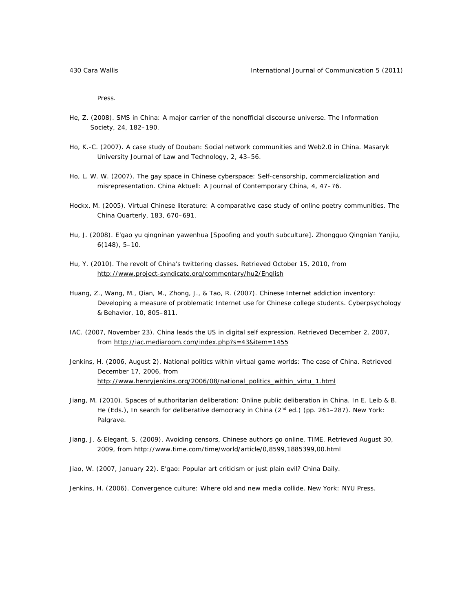Press.

- He, Z. (2008). SMS in China: A major carrier of the nonofficial discourse universe. *The Information Society*, *24*, 182–190.
- Ho, K.-C. (2007). A case study of Douban: Social network communities and Web2.0 in China. *Masaryk University Journal of Law and Technology, 2*, 43–56.
- Ho, L. W. W. (2007). The gay space in Chinese cyberspace: Self-censorship, commercialization and misrepresentation. *China Aktuell: A Journal of Contemporary China, 4*, 47–76.
- Hockx, M. (2005). Virtual Chinese literature: A comparative case study of online poetry communities. *The China Quarterly, 183*, 670–691.
- Hu, J. (2008). E'gao yu qingninan yawenhua [Spoofing and youth subculture]. *Zhongguo Qingnian Yanjiu, 6*(148), 5–10.
- Hu, Y. (2010). The revolt of China's twittering classes. Retrieved October 15, 2010, from http://www.project-syndicate.org/commentary/hu2/English
- Huang, Z., Wang, M., Qian, M., Zhong, J., & Tao, R. (2007). Chinese Internet addiction inventory: Developing a measure of problematic Internet use for Chinese college students. *Cyberpsychology & Behavior, 10*, 805–811.
- IAC. (2007, November 23). China leads the US in digital self expression. Retrieved December 2, 2007, from http://iac.mediaroom.com/index.php?s=43&item=1455
- Jenkins, H. (2006, August 2). National politics within virtual game worlds: The case of China. Retrieved December 17, 2006, from http://www.henryjenkins.org/2006/08/national\_politics\_within\_virtu\_1.html
- Jiang, M. (2010). Spaces of authoritarian deliberation: Online public deliberation in China. In E. Leib & B. He (Eds.), *In search for deliberative democracy in China* (2<sup>nd</sup> ed.) (pp. 261–287). New York: Palgrave.
- Jiang, J. & Elegant, S. (2009). Avoiding censors, Chinese authors go online. *TIME.* Retrieved August 30, 2009, from http://www.time.com/time/world/article/0,8599,1885399,00.html
- Jiao, W. (2007, January 22). E'gao: Popular art criticism or just plain evil? *China Daily*.

Jenkins, H. (2006). *Convergence culture: Where old and new media collide.* New York: NYU Press.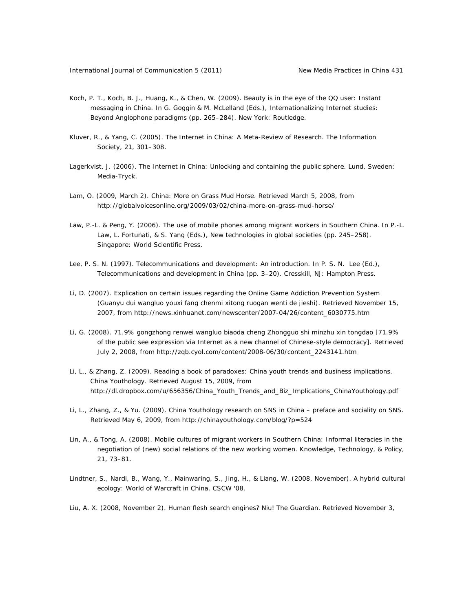- Koch, P. T., Koch, B. J., Huang, K., & Chen, W. (2009). Beauty is in the eye of the QQ user: Instant messaging in China. In G. Goggin & M. McLelland (Eds.), *Internationalizing Internet studies: Beyond Anglophone paradigms* (pp. 265–284). New York: Routledge.
- Kluver, R., & Yang, C. (2005). The Internet in China: A Meta-Review of Research. *The Information Society, 21*, 301–308.
- Lagerkvist, J. (2006). *The Internet in China: Unlocking and containing the public sphere*. Lund, Sweden: Media-Tryck.
- Lam, O. (2009, March 2). China: More on Grass Mud Horse. Retrieved March 5, 2008, from http://globalvoicesonline.org/2009/03/02/china-more-on-grass-mud-horse/
- Law, P.-L. & Peng, Y. (2006). The use of mobile phones among migrant workers in Southern China. In P.-L. Law, L. Fortunati, & S. Yang (Eds.), *New technologies in global societies* (pp. 245–258). Singapore: World Scientific Press.
- Lee, P. S. N. (1997). Telecommunications and development: An introduction. In P. S. N. Lee (Ed.), *Telecommunications and development in China* (pp. 3–20). Cresskill, NJ: Hampton Press.
- Li, D. (2007). Explication on certain issues regarding the Online Game Addiction Prevention System (Guanyu dui wangluo youxi fang chenmi xitong ruogan wenti de jieshi). Retrieved November 15, 2007, from http://news.xinhuanet.com/newscenter/2007-04/26/content\_6030775.htm
- Li, G. (2008). 71.9% gongzhong renwei wangluo biaoda cheng Zhongguo shi minzhu xin tongdao [71.9% of the public see expression via Internet as a new channel of Chinese-style democracy]. Retrieved July 2, 2008, from http://zqb.cyol.com/content/2008-06/30/content\_2243141.htm
- Li, L., & Zhang, Z. (2009). *Reading a book of paradoxes: China youth trends and business implications*. China Youthology. Retrieved August 15, 2009, from http://dl.dropbox.com/u/656356/China\_Youth\_Trends\_and\_Biz\_Implications\_ChinaYouthology.pdf
- Li, L., Zhang, Z., & Yu. (2009). China Youthology research on SNS in China preface and sociality on SNS. Retrieved May 6, 2009, from http://chinayouthology.com/blog/?p=524
- Lin, A., & Tong, A. (2008). Mobile cultures of migrant workers in Southern China: Informal literacies in the negotiation of (new) social relations of the new working women. *Knowledge, Technology, & Policy, 21*, 73–81.
- Lindtner, S., Nardi, B., Wang, Y., Mainwaring, S., Jing, H., & Liang, W. (2008, November). A hybrid cultural ecology: *World of Warcraft* in China. *CSCW '08*.

Liu, A. X. (2008, November 2). Human flesh search engines? Niu! *The Guardian*. Retrieved November 3,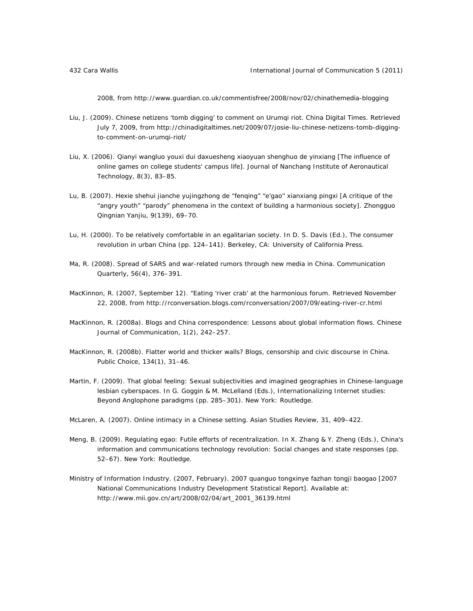2008, from http://www.guardian.co.uk/commentisfree/2008/nov/02/chinathemedia-blogging

- Liu, J. (2009). Chinese netizens 'tomb digging' to comment on Urumqi riot. *China Digital Times.* Retrieved July 7, 2009, from http://chinadigitaltimes.net/2009/07/josie-liu-chinese-netizens-tomb-diggingto-comment-on-urumqi-riot/
- Liu, X. (2006). Qianyi wangluo youxi dui daxuesheng xiaoyuan shenghuo de yinxiang [The influence of online games on college students' campus life]. *Journal of Nanchang Institute of Aeronautical Technology, 8*(3), 83–85.
- Lu, B. (2007). Hexie shehui jianche yujingzhong de "fenqing" "e'gao" xianxiang pingxi [A critique of the "angry youth" "parody" phenomena in the context of building a harmonious society]. *Zhongguo Qingnian Yanjiu*, *9*(139), 69–70.
- Lu, H. (2000). To be relatively comfortable in an egalitarian society. In D. S. Davis (Ed.), *The consumer revolution in urban China* (pp. 124–141). Berkeley, CA: University of California Press.
- Ma, R. (2008). Spread of SARS and war-related rumors through new media in China. *Communication Quarterly, 56*(4), 376–391.
- MacKinnon, R. (2007, September 12). "Eating 'river crab' at the harmonious forum. Retrieved November 22, 2008, from http://rconversation.blogs.com/rconversation/2007/09/eating-river-cr.html
- MacKinnon, R. (2008a). Blogs and China correspondence: Lessons about global information flows. *Chinese Journal of Communication, 1*(2), 242–257.
- MacKinnon, R. (2008b). Flatter world and thicker walls? Blogs, censorship and civic discourse in China. *Public Choice, 134*(1), 31–46.
- Martin, F. (2009). That global feeling: Sexual subjectivities and imagined geographies in Chinese-language lesbian cyberspaces. In G. Goggin & M. McLelland (Eds.), *Internationalizing Internet studies: Beyond Anglophone paradigms* (pp. 285–301). New York: Routledge.
- McLaren, A. (2007). Online intimacy in a Chinese setting. *Asian Studies Review, 31,* 409–422.
- Meng, B. (2009). Regulating *egao*: Futile efforts of recentralization. In X. Zhang & Y. Zheng (Eds.), *China's information and communications technology revolution: Social changes and state responses* (pp. 52–67). New York: Routledge.
- Ministry of Information Industry. (2007, February). *2007 quanguo tongxinye fazhan tongji baogao* [*2007 National Communications Industry Development Statistical Report*]. Available at: http://www.mii.gov.cn/art/2008/02/04/art\_2001\_36139.html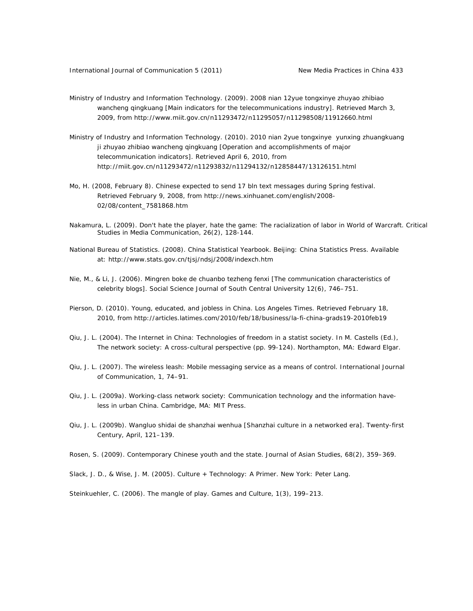- Ministry of Industry and Information Technology. (2009). *2008 nian 12yue tongxinye zhuyao zhibiao wancheng qingkuang* [*Main indicators for the telecommunications industry*]. Retrieved March 3, 2009, from http://www.miit.gov.cn/n11293472/n11295057/n11298508/11912660.html
- Ministry of Industry and Information Technology. (2010). *2010 nian 2yue tongxinye yunxing zhuangkuang ji zhuyao zhibiao wancheng qingkuang* [*Operation and accomplishments of major telecommunication indicators*]. Retrieved April 6, 2010, from http://miit.gov.cn/n11293472/n11293832/n11294132/n12858447/13126151.html
- Mo, H. (2008, February 8). Chinese expected to send 17 bln text messages during Spring festival. Retrieved February 9, 2008, from http://news.xinhuanet.com/english/2008- 02/08/content\_7581868.htm
- Nakamura, L. (2009). Don't hate the player, hate the game: The racialization of labor in World of Warcraft. *Critical Studies in Media Communication, 26*(2), 128-144.
- National Bureau of Statistics. (2008). *China Statistical Yearbook*. Beijing: China Statistics Press. Available at: http://www.stats.gov.cn/tjsj/ndsj/2008/indexch.htm
- Nie, M., & Li, J. (2006). Mingren boke de chuanbo tezheng fenxi [The communication characteristics of celebrity blogs]. *Social Science Journal of South Central University 12*(6), 746–751.
- Pierson, D. (2010). Young, educated, and jobless in China. *Los Angeles Times.* Retrieved February 18, 2010, from http://articles.latimes.com/2010/feb/18/business/la-fi-china-grads19-2010feb19
- Qiu, J. L. (2004). The Internet in China: Technologies of freedom in a statist society. In M. Castells (Ed.), *The network society: A cross-cultural perspective* (pp. 99-124). Northampton, MA: Edward Elgar.
- Qiu, J. L. (2007). The wireless leash: Mobile messaging service as a means of control. *International Journal of Communication, 1*, 74–91.
- Qiu, J. L. (2009a). *Working-class network society: Communication technology and the information haveless in urban China*. Cambridge, MA: MIT Press.
- Qiu, J. L. (2009b). Wangluo shidai de shanzhai wenhua [Shanzhai culture in a networked era]. *Twenty-first Century*, April, 121–139.

Rosen, S. (2009). Contemporary Chinese youth and the state. *Journal of Asian Studies, 68*(2), 359–369.

Slack, J. D., & Wise, J. M. (2005). *Culture + Technology: A Primer.* New York: Peter Lang.

Steinkuehler, C. (2006). The mangle of play. *Games and Culture, 1*(3), 199–213.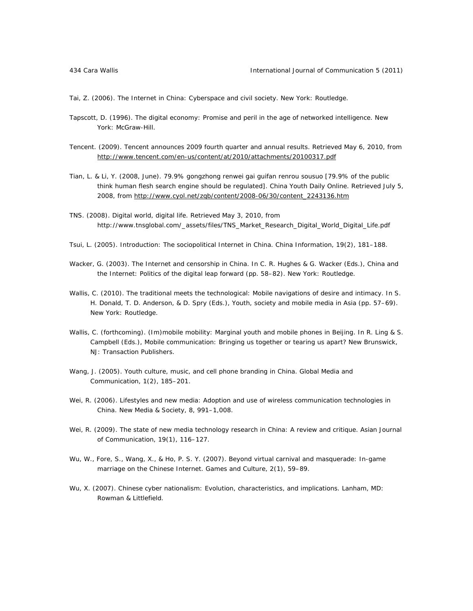Tai, Z. (2006). *The Internet in China: Cyberspace and civil society*. New York: Routledge.

- Tapscott, D. (1996). *The digital economy: Promise and peril in the age of networked intelligence*. New York: McGraw-Hill.
- Tencent. (2009). Tencent announces 2009 fourth quarter and annual results. Retrieved May 6, 2010, from http://www.tencent.com/en-us/content/at/2010/attachments/20100317.pdf
- Tian, L. & Li, Y. (2008, June). 79.9% gongzhong renwei gai guifan renrou sousuo [79.9% of the public think human flesh search engine should be regulated]. *China Youth Daily* Online. Retrieved July 5, 2008, from http://www.cyol.net/zqb/content/2008-06/30/content\_2243136.htm
- TNS. (2008). *Digital world, digital life*. Retrieved May 3, 2010, from http://www.tnsglobal.com/\_assets/files/TNS\_Market\_Research\_Digital\_World\_Digital\_Life.pdf
- Tsui, L. (2005). Introduction: The sociopolitical Internet in China. *China Information, 19*(2), 181–188.
- Wacker, G. (2003). The Internet and censorship in China. In C. R. Hughes & G. Wacker (Eds.), *China and the Internet: Politics of the digital leap forward* (pp. 58–82). New York: Routledge.
- Wallis, C. (2010). The traditional meets the technological: Mobile navigations of desire and intimacy. In S. H. Donald, T. D. Anderson, & D. Spry (Eds.), *Youth, society and mobile media in Asia* (pp. 57–69). New York: Routledge.
- Wallis, C. (forthcoming). (Im)mobile mobility: Marginal youth and mobile phones in Beijing. In R. Ling & S. Campbell (Eds.), *Mobile communication: Bringing us together or tearing us apart?* New Brunswick, NJ: Transaction Publishers.
- Wang, J. (2005). Youth culture, music, and cell phone branding in China. *Global Media and Communication, 1*(2), 185–201.
- Wei, R. (2006). Lifestyles and new media: Adoption and use of wireless communication technologies in China. *New Media & Society, 8*, 991–1,008.
- Wei, R. (2009). The state of new media technology research in China: A review and critique. *Asian Journal of Communication, 19*(1), 116–127.
- Wu, W., Fore, S., Wang, X., & Ho, P. S. Y. (2007). Beyond virtual carnival and masquerade: In-game marriage on the Chinese Internet. *Games and Culture, 2*(1), 59–89.
- Wu, X. (2007). *Chinese cyber nationalism: Evolution, characteristics, and implications*. Lanham, MD: Rowman & Littlefield.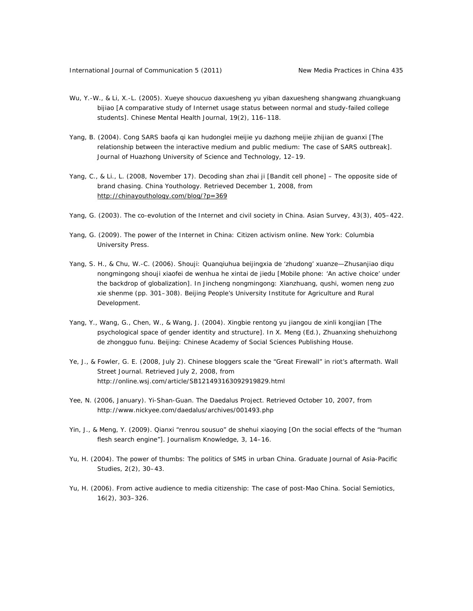- Wu, Y.-W., & Li, X.-L. (2005). Xueye shoucuo daxuesheng yu yiban daxuesheng shangwang zhuangkuang bijiao [A comparative study of Internet usage status between normal and study-failed college students]. *Chinese Mental Health Journal, 19*(2), 116–118.
- Yang, B. (2004). Cong SARS baofa qi kan hudonglei meijie yu dazhong meijie zhijian de guanxi [The relationship between the interactive medium and public medium: The case of SARS outbreak]. *Journal of Huazhong University of Science and Technology*, 12–19.
- Yang, C., & Li., L. (2008, November 17). Decoding shan zhai ji [Bandit cell phone] The opposite side of brand chasing. China Youthology. Retrieved December 1, 2008, from http://chinayouthology.com/blog/?p=369
- Yang, G. (2003). The co-evolution of the Internet and civil society in China. *Asian Survey, 43*(3), 405–422.
- Yang, G. (2009). *The power of the Internet in China: Citizen activism online*. New York: Columbia University Press.
- Yang, S. H., & Chu, W.-C. (2006). Shouji: Quanqiuhua beijingxia de 'zhudong' xuanze—Zhusanjiao diqu nongmingong shouji xiaofei de wenhua he xintai de jiedu [Mobile phone: 'An active choice' under the backdrop of globalization]. In *Jincheng nongmingong: Xianzhuang, qushi, women neng zuo xie shenme* (pp. 301–308). Beijing People's University Institute for Agriculture and Rural Development.
- Yang, Y., Wang, G., Chen, W., & Wang, J. (2004). Xingbie rentong yu jiangou de xinli kongjian [The psychological space of gender identity and structure]. In X. Meng (Ed.), *Zhuanxing shehuizhong de zhongguo funu*. Beijing: Chinese Academy of Social Sciences Publishing House.
- Ye, J., & Fowler, G. E. (2008, July 2). Chinese bloggers scale the "Great Firewall" in riot's aftermath. *Wall Street Journal*. Retrieved July 2, 2008, from http://online.wsj.com/article/SB121493163092919829.html
- Yee, N. (2006, January). Yi-Shan-Guan. *The Daedalus Project.* Retrieved October 10, 2007, from http://www.nickyee.com/daedalus/archives/001493.php
- Yin, J., & Meng, Y. (2009). Qianxi "renrou sousuo" de shehui xiaoying [On the social effects of the "human flesh search engine"]. *Journalism Knowledge, 3*, 14–16.
- Yu, H. (2004). The power of thumbs: The politics of SMS in urban China. *Graduate Journal of Asia-Pacific Studies, 2*(2), 30–43.
- Yu, H. (2006). From active audience to media citizenship: The case of post-Mao China. *Social Semiotics, 16*(2), 303–326.